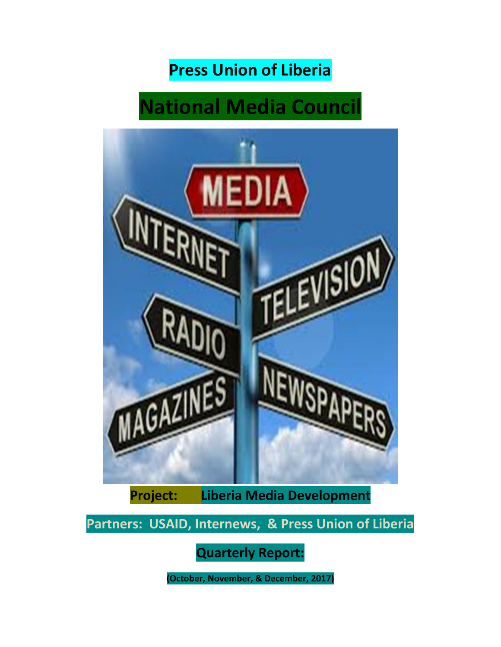## **Press Union of Liberia**

# **National Media Council**



**Project: Liberia Media Development**

**Partners: USAID, Internews, & Press Union of Liberia**

**Quarterly Report:** 

**(October, November, & December, 2017)**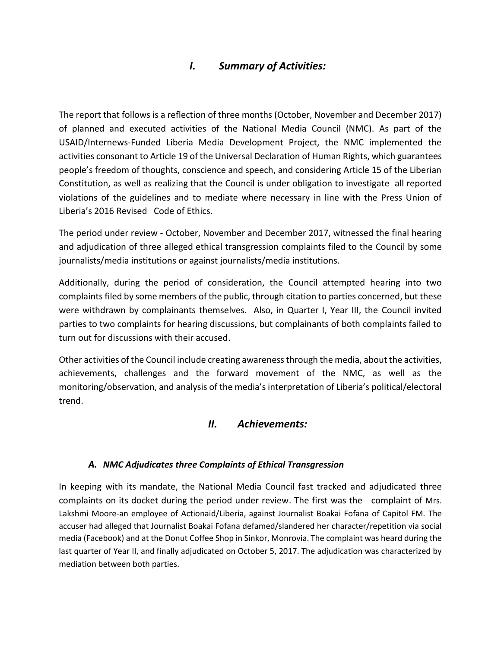### *I. Summary of Activities:*

The report that follows is a reflection of three months (October, November and December 2017) of planned and executed activities of the National Media Council (NMC). As part of the USAID/Internews-Funded Liberia Media Development Project, the NMC implemented the activities consonant to Article 19 of the Universal Declaration of Human Rights, which guarantees people's freedom of thoughts, conscience and speech, and considering Article 15 of the Liberian Constitution, as well as realizing that the Council is under obligation to investigate all reported violations of the guidelines and to mediate where necessary in line with the Press Union of Liberia's 2016 Revised Code of Ethics.

The period under review - October, November and December 2017, witnessed the final hearing and adjudication of three alleged ethical transgression complaints filed to the Council by some journalists/media institutions or against journalists/media institutions.

Additionally, during the period of consideration, the Council attempted hearing into two complaints filed by some members of the public, through citation to parties concerned, but these were withdrawn by complainants themselves. Also, in Quarter I, Year III, the Council invited parties to two complaints for hearing discussions, but complainants of both complaints failed to turn out for discussions with their accused.

Other activities of the Council include creating awarenessthrough the media, about the activities, achievements, challenges and the forward movement of the NMC, as well as the monitoring/observation, and analysis of the media's interpretation of Liberia's political/electoral trend.

#### *II. Achievements:*

#### *A. NMC Adjudicates three Complaints of Ethical Transgression*

In keeping with its mandate, the National Media Council fast tracked and adjudicated three complaints on its docket during the period under review. The first was the complaint of Mrs. Lakshmi Moore-an employee of Actionaid/Liberia, against Journalist Boakai Fofana of Capitol FM. The accuser had alleged that Journalist Boakai Fofana defamed/slandered her character/repetition via social media (Facebook) and at the Donut Coffee Shop in Sinkor, Monrovia. The complaint was heard during the last quarter of Year II, and finally adjudicated on October 5, 2017. The adjudication was characterized by mediation between both parties.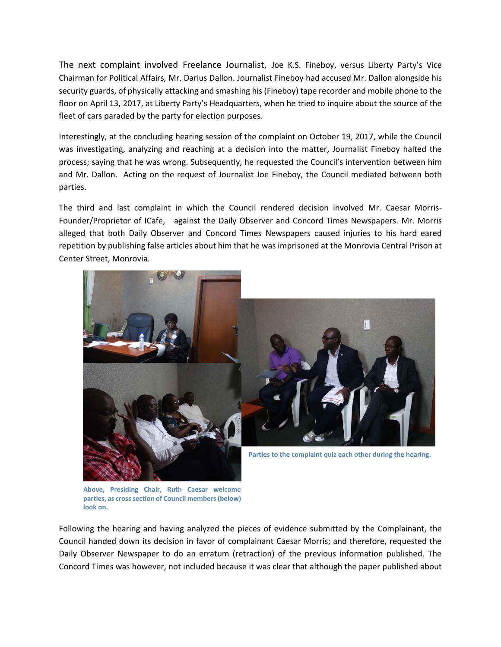The next complaint involved Freelance Journalist, Joe K.S. Fineboy, versus Liberty Party's Vice Chairman for Political Affairs, Mr. Darius Dallon. Journalist Fineboy had accused Mr. Dallon alongside his security guards, of physically attacking and smashing his (Fineboy) tape recorder and mobile phone to the floor on April 13, 2017, at Liberty Party's Headquarters, when he tried to inquire about the source of the fleet of cars paraded by the party for election purposes.

Interestingly, at the concluding hearing session of the complaint on October 19, 2017, while the Council was investigating, analyzing and reaching at a decision into the matter, Journalist Fineboy halted the process; saying that he was wrong. Subsequently, he requested the Council's intervention between him and Mr. Dallon. Acting on the request of Journalist Joe Fineboy, the Council mediated between both parties.

The third and last complaint in which the Council rendered decision involved Mr. Caesar Morris-Founder/Proprietor of ICafe, against the Daily Observer and Concord Times Newspapers. Mr. Morris alleged that both Daily Observer and Concord Times Newspapers caused injuries to his hard eared repetition by publishing false articles about him that he was imprisoned at the Monrovia Central Prison at Center Street, Monrovia.



**Above, Presiding Chair, Ruth Caesar welcome parties, as cross section of Council members (below) look on.**

Following the hearing and having analyzed the pieces of evidence submitted by the Complainant, the Council handed down its decision in favor of complainant Caesar Morris; and therefore, requested the Daily Observer Newspaper to do an erratum (retraction) of the previous information published. The Concord Times was however, not included because it was clear that although the paper published about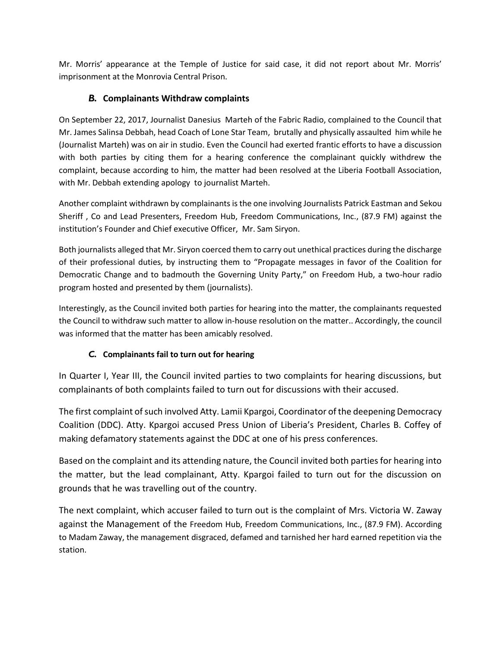Mr. Morris' appearance at the Temple of Justice for said case, it did not report about Mr. Morris' imprisonment at the Monrovia Central Prison.

#### *B.* **Complainants Withdraw complaints**

On September 22, 2017, Journalist Danesius Marteh of the Fabric Radio, complained to the Council that Mr. James Salinsa Debbah, head Coach of Lone Star Team, brutally and physically assaulted him while he (Journalist Marteh) was on air in studio. Even the Council had exerted frantic efforts to have a discussion with both parties by citing them for a hearing conference the complainant quickly withdrew the complaint, because according to him, the matter had been resolved at the Liberia Football Association, with Mr. Debbah extending apology to journalist Marteh.

Another complaint withdrawn by complainants is the one involving Journalists Patrick Eastman and Sekou Sheriff , Co and Lead Presenters, Freedom Hub, Freedom Communications, Inc., (87.9 FM) against the institution's Founder and Chief executive Officer, Mr. Sam Siryon.

Both journalists alleged that Mr. Siryon coerced them to carry out unethical practices during the discharge of their professional duties, by instructing them to "Propagate messages in favor of the Coalition for Democratic Change and to badmouth the Governing Unity Party," on Freedom Hub, a two-hour radio program hosted and presented by them (journalists).

Interestingly, as the Council invited both parties for hearing into the matter, the complainants requested the Council to withdraw such matter to allow in-house resolution on the matter.. Accordingly, the council was informed that the matter has been amicably resolved.

#### *C.* **Complainants fail to turn out for hearing**

In Quarter I, Year III, the Council invited parties to two complaints for hearing discussions, but complainants of both complaints failed to turn out for discussions with their accused.

The first complaint of such involved Atty. Lamii Kpargoi, Coordinator of the deepening Democracy Coalition (DDC). Atty. Kpargoi accused Press Union of Liberia's President, Charles B. Coffey of making defamatory statements against the DDC at one of his press conferences.

Based on the complaint and its attending nature, the Council invited both parties for hearing into the matter, but the lead complainant, Atty. Kpargoi failed to turn out for the discussion on grounds that he was travelling out of the country.

The next complaint, which accuser failed to turn out is the complaint of Mrs. Victoria W. Zaway against the Management of the Freedom Hub, Freedom Communications, Inc., (87.9 FM). According to Madam Zaway, the management disgraced, defamed and tarnished her hard earned repetition via the station.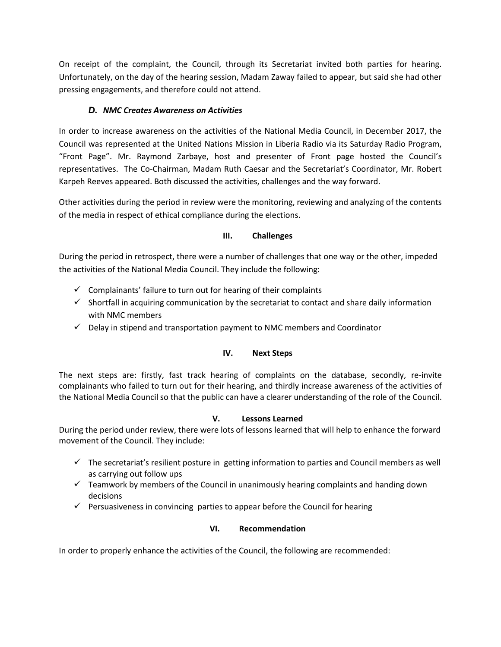On receipt of the complaint, the Council, through its Secretariat invited both parties for hearing. Unfortunately, on the day of the hearing session, Madam Zaway failed to appear, but said she had other pressing engagements, and therefore could not attend.

#### *D. NMC Creates Awareness on Activities*

In order to increase awareness on the activities of the National Media Council, in December 2017, the Council was represented at the United Nations Mission in Liberia Radio via its Saturday Radio Program, "Front Page". Mr. Raymond Zarbaye, host and presenter of Front page hosted the Council's representatives. The Co-Chairman, Madam Ruth Caesar and the Secretariat's Coordinator, Mr. Robert Karpeh Reeves appeared. Both discussed the activities, challenges and the way forward.

Other activities during the period in review were the monitoring, reviewing and analyzing of the contents of the media in respect of ethical compliance during the elections.

#### **III. Challenges**

During the period in retrospect, there were a number of challenges that one way or the other, impeded the activities of the National Media Council. They include the following:

- $\checkmark$  Complainants' failure to turn out for hearing of their complaints
- $\checkmark$  Shortfall in acquiring communication by the secretariat to contact and share daily information with NMC members
- $\checkmark$  Delay in stipend and transportation payment to NMC members and Coordinator

#### **IV. Next Steps**

The next steps are: firstly, fast track hearing of complaints on the database, secondly, re-invite complainants who failed to turn out for their hearing, and thirdly increase awareness of the activities of the National Media Council so that the public can have a clearer understanding of the role of the Council.

#### **V. Lessons Learned**

During the period under review, there were lots of lessons learned that will help to enhance the forward movement of the Council. They include:

- $\checkmark$  The secretariat's resilient posture in getting information to parties and Council members as well as carrying out follow ups
- $\checkmark$  Teamwork by members of the Council in unanimously hearing complaints and handing down decisions
- $\checkmark$  Persuasiveness in convincing parties to appear before the Council for hearing

#### **VI. Recommendation**

In order to properly enhance the activities of the Council, the following are recommended: